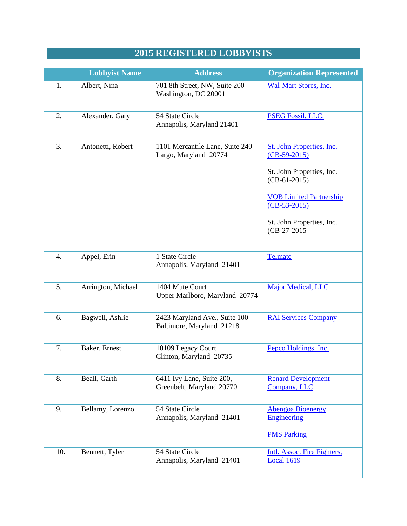## **2015 REGISTERED LOBBYISTS**

|     | <b>Lobbyist Name</b> | <b>Address</b>                                             | <b>Organization Represented</b>                  |
|-----|----------------------|------------------------------------------------------------|--------------------------------------------------|
| 1.  | Albert, Nina         | 701 8th Street, NW, Suite 200<br>Washington, DC 20001      | Wal-Mart Stores, Inc.                            |
| 2.  | Alexander, Gary      | 54 State Circle<br>Annapolis, Maryland 21401               | <b>PSEG Fossil, LLC.</b>                         |
| 3.  | Antonetti, Robert    | 1101 Mercantile Lane, Suite 240<br>Largo, Maryland 20774   | St. John Properties, Inc.<br>$(CB-59-2015)$      |
|     |                      |                                                            | St. John Properties, Inc.<br>$(CB-61-2015)$      |
|     |                      |                                                            | <b>VOB Limited Partnership</b><br>$(CB-53-2015)$ |
|     |                      |                                                            | St. John Properties, Inc.<br>$(CB-27-2015)$      |
| 4.  | Appel, Erin          | 1 State Circle<br>Annapolis, Maryland 21401                | <b>Telmate</b>                                   |
| 5.  | Arrington, Michael   | 1404 Mute Court<br>Upper Marlboro, Maryland 20774          | <b>Major Medical, LLC</b>                        |
| 6.  | Bagwell, Ashlie      | 2423 Maryland Ave., Suite 100<br>Baltimore, Maryland 21218 | <b>RAI Services Company</b>                      |
| 7.  | Baker, Ernest        | 10109 Legacy Court<br>Clinton, Maryland 20735              | Pepco Holdings, Inc.                             |
| 8.  | Beall, Garth         | 6411 Ivy Lane, Suite 200,<br>Greenbelt, Maryland 20770     | <b>Renard Development</b><br>Company, LLC        |
| 9.  | Bellamy, Lorenzo     | 54 State Circle<br>Annapolis, Maryland 21401               | <b>Abengoa Bioenergy</b><br><b>Engineering</b>   |
|     |                      |                                                            | <b>PMS Parking</b>                               |
| 10. | Bennett, Tyler       | 54 State Circle<br>Annapolis, Maryland 21401               | Intl. Assoc. Fire Fighters,<br><b>Local 1619</b> |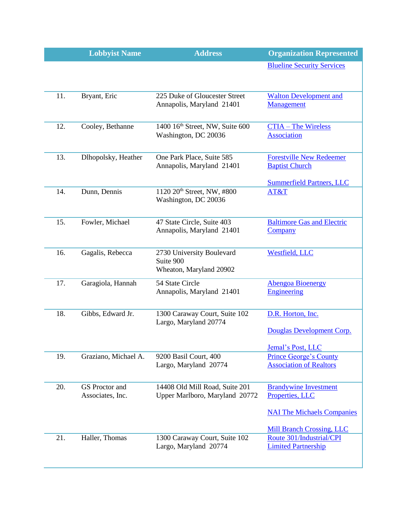|     | <b>Lobbyist Name</b>               | <b>Address</b>                                                    | <b>Organization Represented</b>                                                                                          |
|-----|------------------------------------|-------------------------------------------------------------------|--------------------------------------------------------------------------------------------------------------------------|
|     |                                    |                                                                   | <b>Blueline Security Services</b>                                                                                        |
| 11. | Bryant, Eric                       | 225 Duke of Gloucester Street<br>Annapolis, Maryland 21401        | <b>Walton Development and</b><br>Management                                                                              |
| 12. | Cooley, Bethanne                   | 1400 16th Street, NW, Suite 600<br>Washington, DC 20036           | <b>CTIA - The Wireless</b><br><b>Association</b>                                                                         |
| 13. | Dlhopolsky, Heather                | One Park Place, Suite 585<br>Annapolis, Maryland 21401            | <b>Forestville New Redeemer</b><br><b>Baptist Church</b><br><b>Summerfield Partners, LLC</b>                             |
| 14. | Dunn, Dennis                       | 1120 20 <sup>th</sup> Street, NW, #800<br>Washington, DC 20036    | AT&T                                                                                                                     |
| 15. | Fowler, Michael                    | 47 State Circle, Suite 403<br>Annapolis, Maryland 21401           | <b>Baltimore Gas and Electric</b><br><b>Company</b>                                                                      |
| 16. | Gagalis, Rebecca                   | 2730 University Boulevard<br>Suite 900<br>Wheaton, Maryland 20902 | Westfield, LLC                                                                                                           |
| 17. | Garagiola, Hannah                  | 54 State Circle<br>Annapolis, Maryland 21401                      | <b>Abengoa Bioenergy</b><br>Engineering                                                                                  |
| 18. | Gibbs, Edward Jr.                  | 1300 Caraway Court, Suite 102<br>Largo, Maryland 20774            | D.R. Horton, Inc.<br>Douglas Development Corp.<br>Jemal's Post, LLC                                                      |
| 19. | Graziano, Michael A.               | 9200 Basil Court, 400<br>Largo, Maryland 20774                    | <b>Prince George's County</b><br><b>Association of Realtors</b>                                                          |
| 20. | GS Proctor and<br>Associates, Inc. | 14408 Old Mill Road, Suite 201<br>Upper Marlboro, Maryland 20772  | <b>Brandywine Investment</b><br>Properties, LLC<br><b>NAI The Michaels Companies</b><br><b>Mill Branch Crossing, LLC</b> |
| 21. | Haller, Thomas                     | 1300 Caraway Court, Suite 102<br>Largo, Maryland 20774            | Route 301/Industrial/CPI<br><b>Limited Partnership</b>                                                                   |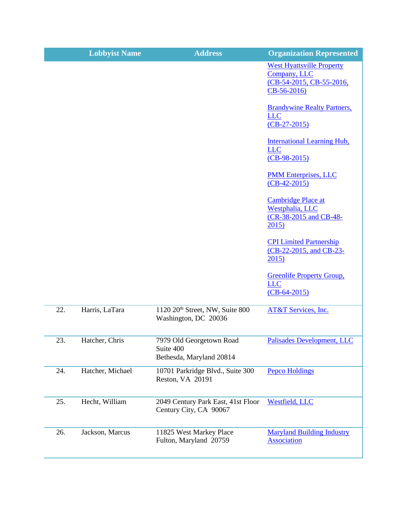|     | <b>Lobbyist Name</b> | <b>Address</b>                                                      | <b>Organization Represented</b>                                                              |
|-----|----------------------|---------------------------------------------------------------------|----------------------------------------------------------------------------------------------|
|     |                      |                                                                     | <b>West Hyattsville Property</b><br>Company, LLC<br>(CB-54-2015, CB-55-2016,<br>$CB-56-2016$ |
|     |                      |                                                                     | <b>Brandywine Realty Partners,</b><br><b>LLC</b><br>$(CB-27-2015)$                           |
|     |                      |                                                                     | <b>International Learning Hub,</b><br><b>LLC</b><br>$(CB-98-2015)$                           |
|     |                      |                                                                     | <b>PMM Enterprises, LLC</b><br>$(CB-42-2015)$                                                |
|     |                      |                                                                     | <b>Cambridge Place at</b><br>Westphalia, LLC<br>(CR-38-2015 and CB-48-<br>2015)              |
|     |                      |                                                                     | <b>CPI Limited Partnership</b><br>(CB-22-2015, and CB-23-<br>2015)                           |
|     |                      |                                                                     | <b>Greenlife Property Group,</b><br><b>LLC</b><br>$(CB-64-2015)$                             |
| 22. | Harris, LaTara       | 1120 20 <sup>th</sup> Street, NW, Suite 800<br>Washington, DC 20036 | AT&T Services, Inc.                                                                          |
| 23. | Hatcher, Chris       | 7979 Old Georgetown Road<br>Suite 400<br>Bethesda, Maryland 20814   | Palisades Development, LLC                                                                   |
| 24. | Hatcher, Michael     | 10701 Parkridge Blvd., Suite 300<br>Reston, VA 20191                | <b>Pepco Holdings</b>                                                                        |
| 25. | Hecht, William       | 2049 Century Park East, 41st Floor<br>Century City, CA 90067        | Westfield, LLC                                                                               |
| 26. | Jackson, Marcus      | 11825 West Markey Place<br>Fulton, Maryland 20759                   | <b>Maryland Building Industry</b><br><b>Association</b>                                      |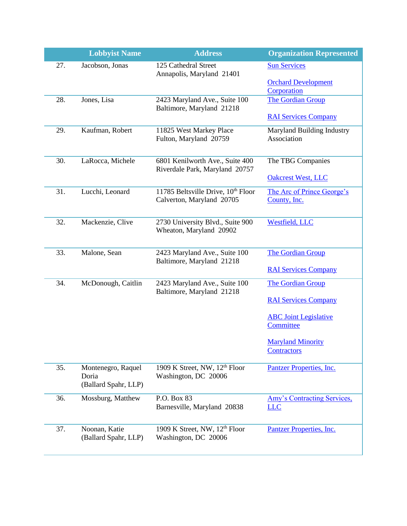|     | <b>Lobbyist Name</b>                                | <b>Address</b>                                                              | <b>Organization Represented</b>                  |
|-----|-----------------------------------------------------|-----------------------------------------------------------------------------|--------------------------------------------------|
| 27. | Jacobson, Jonas                                     | 125 Cathedral Street<br>Annapolis, Maryland 21401                           | <b>Sun Services</b>                              |
|     |                                                     |                                                                             | <b>Orchard Development</b><br>Corporation        |
| 28. | Jones, Lisa                                         | 2423 Maryland Ave., Suite 100<br>Baltimore, Maryland 21218                  | <b>The Gordian Group</b>                         |
|     |                                                     |                                                                             | <b>RAI Services Company</b>                      |
| 29. | Kaufman, Robert                                     | 11825 West Markey Place<br>Fulton, Maryland 20759                           | Maryland Building Industry<br>Association        |
| 30. | LaRocca, Michele                                    | 6801 Kenilworth Ave., Suite 400<br>Riverdale Park, Maryland 20757           | The TBG Companies                                |
|     |                                                     |                                                                             | <b>Oakcrest West, LLC</b>                        |
| 31. | Lucchi, Leonard                                     | 11785 Beltsville Drive, 10 <sup>th</sup> Floor<br>Calverton, Maryland 20705 | The Arc of Prince George's<br>County, Inc.       |
| 32. | Mackenzie, Clive                                    | 2730 University Blvd., Suite 900<br>Wheaton, Maryland 20902                 | Westfield, LLC                                   |
| 33. | Malone, Sean                                        | 2423 Maryland Ave., Suite 100<br>Baltimore, Maryland 21218                  | The Gordian Group                                |
|     |                                                     |                                                                             | <b>RAI Services Company</b>                      |
| 34. | McDonough, Caitlin                                  | 2423 Maryland Ave., Suite 100<br>Baltimore, Maryland 21218                  | <b>The Gordian Group</b>                         |
|     |                                                     |                                                                             | <b>RAI Services Company</b>                      |
|     |                                                     |                                                                             | <b>ABC</b> Joint Legislative<br>Committee        |
|     |                                                     |                                                                             | <b>Maryland Minority</b><br><b>Contractors</b>   |
| 35. | Montenegro, Raquel<br>Doria<br>(Ballard Spahr, LLP) | 1909 K Street, NW, 12 <sup>th</sup> Floor<br>Washington, DC 20006           | Pantzer Properties, Inc.                         |
| 36. | Mossburg, Matthew                                   | P.O. Box 83<br>Barnesville, Maryland 20838                                  | <b>Amy's Contracting Services,</b><br><b>LLC</b> |
|     |                                                     |                                                                             |                                                  |
| 37. | Noonan, Katie<br>(Ballard Spahr, LLP)               | 1909 K Street, NW, 12 <sup>th</sup> Floor<br>Washington, DC 20006           | Pantzer Properties, Inc.                         |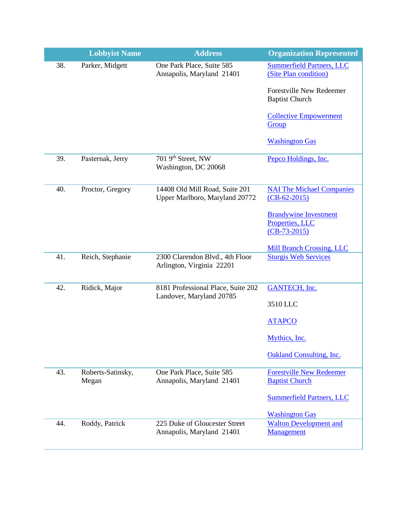|     | <b>Lobbyist Name</b>       | <b>Address</b>                                                   | <b>Organization Represented</b>                                   |
|-----|----------------------------|------------------------------------------------------------------|-------------------------------------------------------------------|
| 38. | Parker, Midgett            | One Park Place, Suite 585<br>Annapolis, Maryland 21401           | <b>Summerfield Partners, LLC</b><br>(Site Plan condition)         |
|     |                            |                                                                  | Forestville New Redeemer<br><b>Baptist Church</b>                 |
|     |                            |                                                                  | <b>Collective Empowerment</b><br>Group                            |
|     |                            |                                                                  | <b>Washington Gas</b>                                             |
| 39. | Pasternak, Jerry           | 701 9th Street, NW<br>Washington, DC 20068                       | Pepco Holdings, Inc.                                              |
| 40. | Proctor, Gregory           | 14408 Old Mill Road, Suite 201<br>Upper Marlboro, Maryland 20772 | <b>NAI The Michael Companies</b><br>$(CB-62-2015)$                |
|     |                            |                                                                  | <b>Brandywine Investment</b><br>Properties, LLC<br>$(CB-73-2015)$ |
| 41. |                            |                                                                  | <b>Mill Branch Crossing, LLC</b>                                  |
|     | Reich, Stephanie           | 2300 Clarendon Blvd., 4th Floor<br>Arlington, Virginia 22201     | <b>Sturgis Web Services</b>                                       |
| 42. | Ridick, Major              | 8181 Professional Place, Suite 202<br>Landover, Maryland 20785   | <b>GANTECH, Inc.</b>                                              |
|     |                            |                                                                  | 3510 LLC                                                          |
|     |                            |                                                                  | <b>ATAPCO</b>                                                     |
|     |                            |                                                                  | Mythics, Inc.                                                     |
|     |                            |                                                                  | <b>Oakland Consulting, Inc.</b>                                   |
| 43. | Roberts-Satinsky,<br>Megan | One Park Place, Suite 585<br>Annapolis, Maryland 21401           | <b>Forestville New Redeemer</b><br><b>Baptist Church</b>          |
|     |                            |                                                                  | <b>Summerfield Partners, LLC</b>                                  |
|     |                            |                                                                  | <b>Washington Gas</b>                                             |
| 44. | Roddy, Patrick             | 225 Duke of Gloucester Street<br>Annapolis, Maryland 21401       | <b>Walton Development and</b><br>Management                       |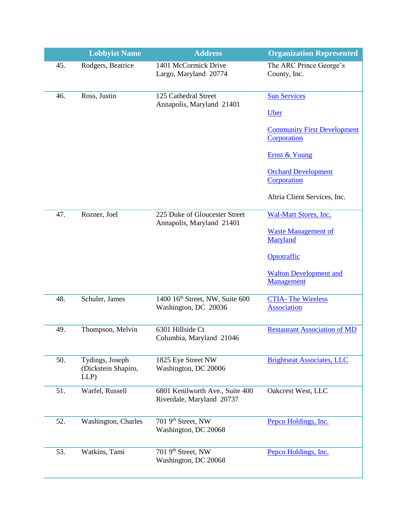|     | <b>Lobbyist Name</b>                           | <b>Address</b>                                               | <b>Organization Represented</b>                   |
|-----|------------------------------------------------|--------------------------------------------------------------|---------------------------------------------------|
| 45. | Rodgers, Beatrice                              | 1401 McCormick Drive<br>Largo, Maryland 20774                | The ARC Prince George's<br>County, Inc.           |
| 46. | Ross, Justin                                   | 125 Cathedral Street<br>Annapolis, Maryland 21401            | <b>Sun Services</b>                               |
|     |                                                |                                                              | <b>Uber</b>                                       |
|     |                                                |                                                              | <b>Community First Development</b><br>Corporation |
|     |                                                |                                                              | Ernst & Young                                     |
|     |                                                |                                                              | <b>Orchard Development</b><br>Corporation         |
|     |                                                |                                                              | Altria Client Services, Inc.                      |
| 47. | Rozner, Joel                                   | 225 Duke of Gloucester Street<br>Annapolis, Maryland 21401   | <b>Wal-Mart Stores, Inc.</b>                      |
|     |                                                |                                                              | <b>Waste Management of</b><br>Maryland            |
|     |                                                |                                                              | Optotraffic                                       |
|     |                                                |                                                              | <b>Walton Development and</b><br>Management       |
| 48. | Schuler, James                                 | 1400 16th Street, NW, Suite 600<br>Washington, DC 20036      | <b>CTIA-The Wireless</b><br><b>Association</b>    |
| 49. | Thompson, Melvin                               | 6301 Hillside Ct<br>Columbia, Maryland 21046                 | <b>Restaurant Association of MD</b>               |
| 50. | Tydings, Joseph<br>(Dickstein Shapiro,<br>LLP) | 1825 Eye Street NW<br>Washington, DC 20006                   | <b>Brightseat Associates, LLC</b>                 |
| 51. | Warfel, Russell                                | 6801 Kenilworth Ave., Suite 400<br>Riverdale, Maryland 20737 | Oakcrest West, LLC                                |
| 52. | Washington, Charles                            | 701 9th Street, NW<br>Washington, DC 20068                   | Pepco Holdings, Inc.                              |
| 53. | Watkins, Tami                                  | 701 9th Street, NW<br>Washington, DC 20068                   | Pepco Holdings, Inc.                              |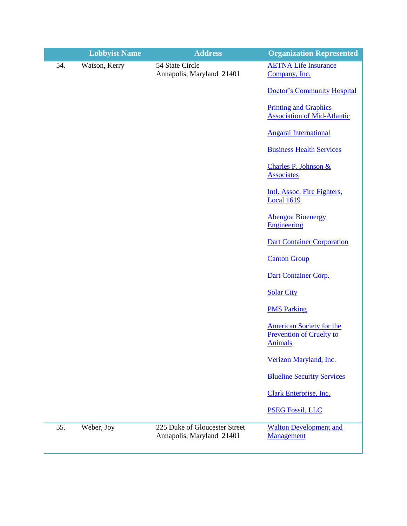|     | <b>Lobbyist Name</b> | <b>Address</b>                                             | <b>Organization Represented</b>                                                      |
|-----|----------------------|------------------------------------------------------------|--------------------------------------------------------------------------------------|
| 54. | Watson, Kerry        | 54 State Circle<br>Annapolis, Maryland 21401               | <b>AETNA Life Insurance</b><br>Company, Inc.                                         |
|     |                      |                                                            | <b>Doctor's Community Hospital</b>                                                   |
|     |                      |                                                            | <b>Printing and Graphics</b><br><b>Association of Mid-Atlantic</b>                   |
|     |                      |                                                            | <b>Angarai International</b>                                                         |
|     |                      |                                                            | <b>Business Health Services</b>                                                      |
|     |                      |                                                            | Charles P. Johnson &<br><b>Associates</b>                                            |
|     |                      |                                                            | Intl. Assoc. Fire Fighters,<br><b>Local 1619</b>                                     |
|     |                      |                                                            | <b>Abengoa Bioenergy</b><br><b>Engineering</b>                                       |
|     |                      |                                                            | <b>Dart Container Corporation</b>                                                    |
|     |                      |                                                            | <b>Canton Group</b>                                                                  |
|     |                      |                                                            | Dart Container Corp.                                                                 |
|     |                      |                                                            | <b>Solar City</b>                                                                    |
|     |                      |                                                            | <b>PMS Parking</b>                                                                   |
|     |                      |                                                            | <b>American Society for the</b><br><b>Prevention of Cruelty to</b><br><b>Animals</b> |
|     |                      |                                                            | Verizon Maryland, Inc.                                                               |
|     |                      |                                                            | <b>Blueline Security Services</b>                                                    |
|     |                      |                                                            | Clark Enterprise, Inc.                                                               |
|     |                      |                                                            | <b>PSEG Fossil, LLC</b>                                                              |
| 55. | Weber, Joy           | 225 Duke of Gloucester Street<br>Annapolis, Maryland 21401 | <b>Walton Development and</b><br>Management                                          |